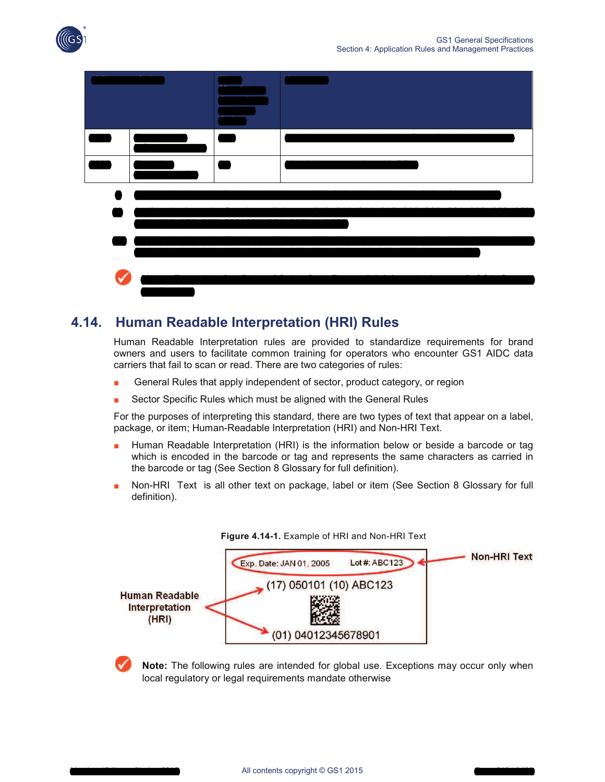

# **4.14. Human Readable Interpretation (HRI) Rules**

Human Readable Interpretation rules are provided to standardize requirements for brand owners and users to facilitate common training for operators who encounter GS1 AIDC data carriers that fail to scan or read. There are two categories of rules:

- General Rules that apply independent of sector, product category, or region
- Sector Specific Rules which must be aligned with the General Rules

For the purposes of interpreting this standard, there are two types of text that appear on a label, package, or item; Human-Readable Interpretation (HRI) and Non-HRI Text.

- Human Readable Interpretation (HRI) is the information below or beside a barcode or tag which is encoded in the barcode or tag and represents the same characters as carried in the barcode or tag (See Section 8 Glossary for full definition).
- Non-HRI Text is all other text on package, label or item (See Section 8 Glossary for full definition).



**Note:** The following rules are intended for global use. Exceptions may occur only when local regulatory or legal requirements mandate otherwise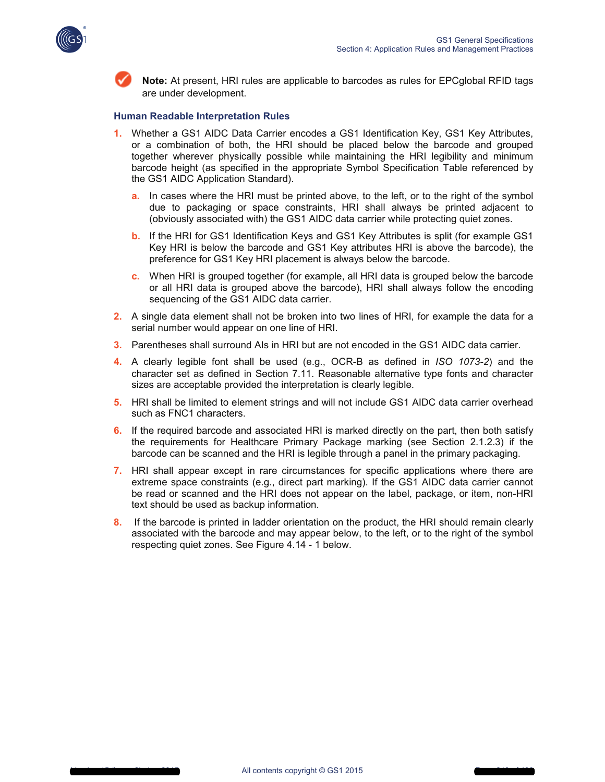



**Note:** At present, HRI rules are applicable to barcodes as rules for EPCglobal RFID tags are under development.

### **Human Readable Interpretation Rules**

- **1.** Whether a GS1 AIDC Data Carrier encodes a GS1 Identification Key, GS1 Key Attributes, or a combination of both, the HRI should be placed below the barcode and grouped together wherever physically possible while maintaining the HRI legibility and minimum barcode height (as specified in the appropriate Symbol Specification Table referenced by the GS1 AIDC Application Standard).
	- **a.** In cases where the HRI must be printed above, to the left, or to the right of the symbol due to packaging or space constraints, HRI shall always be printed adjacent to (obviously associated with) the GS1 AIDC data carrier while protecting quiet zones.
	- **b.** If the HRI for GS1 Identification Keys and GS1 Key Attributes is split (for example GS1 Key HRI is below the barcode and GS1 Key attributes HRI is above the barcode), the preference for GS1 Key HRI placement is always below the barcode.
	- **c.** When HRI is grouped together (for example, all HRI data is grouped below the barcode or all HRI data is grouped above the barcode), HRI shall always follow the encoding sequencing of the GS1 AIDC data carrier.
- **2.** A single data element shall not be broken into two lines of HRI, for example the data for a serial number would appear on one line of HRI.
- **3.** Parentheses shall surround AIs in HRI but are not encoded in the GS1 AIDC data carrier.
- **4.** A clearly legible font shall be used (e.g., OCR-B as defined in *ISO 1073-2*) and the character set as defined in Section 7.11. Reasonable alternative type fonts and character sizes are acceptable provided the interpretation is clearly legible.
- **5.** HRI shall be limited to element strings and will not include GS1 AIDC data carrier overhead such as FNC1 characters.
- **6.** If the required barcode and associated HRI is marked directly on the part, then both satisfy the requirements for Healthcare Primary Package marking (see Section 2.1.2.3) if the barcode can be scanned and the HRI is legible through a panel in the primary packaging.
- **7.** HRI shall appear except in rare circumstances for specific applications where there are extreme space constraints (e.g., direct part marking). If the GS1 AIDC data carrier cannot be read or scanned and the HRI does not appear on the label, package, or item, non-HRI text should be used as backup information.
- **8.** If the barcode is printed in ladder orientation on the product, the HRI should remain clearly associated with the barcode and may appear below, to the left, or to the right of the symbol respecting quiet zones. See Figure 4.14 - 1 below.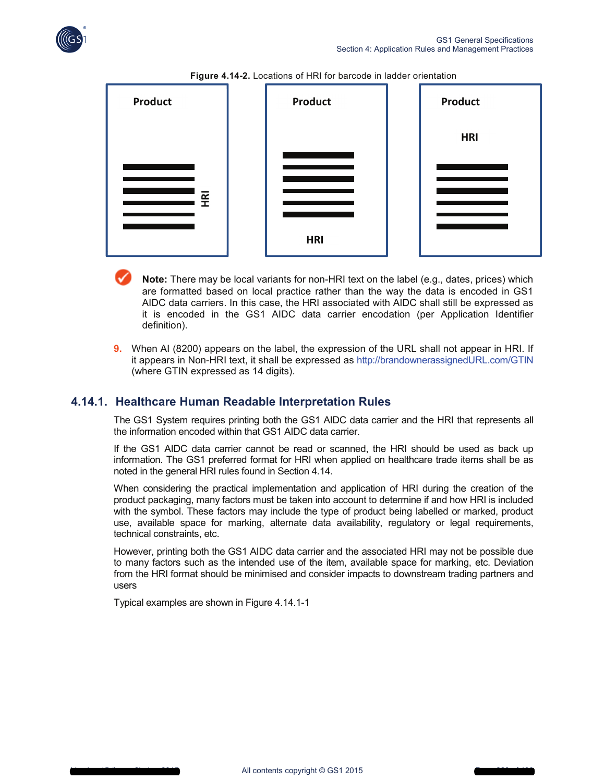





- **Note:** There may be local variants for non-HRI text on the label (e.g., dates, prices) which are formatted based on local practice rather than the way the data is encoded in GS1 AIDC data carriers. In this case, the HRI associated with AIDC shall still be expressed as it is encoded in the GS1 AIDC data carrier encodation (per Application Identifier definition).
- **9.** When AI (8200) appears on the label, the expression of the URL shall not appear in HRI. If it appears in Non-HRI text, it shall be expressed as http://brandownerassignedURL.com/GTIN (where GTIN expressed as 14 digits).

## **4.14.1. Healthcare Human Readable Interpretation Rules**

The GS1 System requires printing both the GS1 AIDC data carrier and the HRI that represents all the information encoded within that GS1 AIDC data carrier.

If the GS1 AIDC data carrier cannot be read or scanned, the HRI should be used as back up information. The GS1 preferred format for HRI when applied on healthcare trade items shall be as noted in the general HRI rules found in Section 4.14.

When considering the practical implementation and application of HRI during the creation of the product packaging, many factors must be taken into account to determine if and how HRI is included with the symbol. These factors may include the type of product being labelled or marked, product use, available space for marking, alternate data availability, regulatory or legal requirements, technical constraints, etc.

However, printing both the GS1 AIDC data carrier and the associated HRI may not be possible due to many factors such as the intended use of the item, available space for marking, etc. Deviation from the HRI format should be minimised and consider impacts to downstream trading partners and users

Typical examples are shown in Figure 4.14.1-1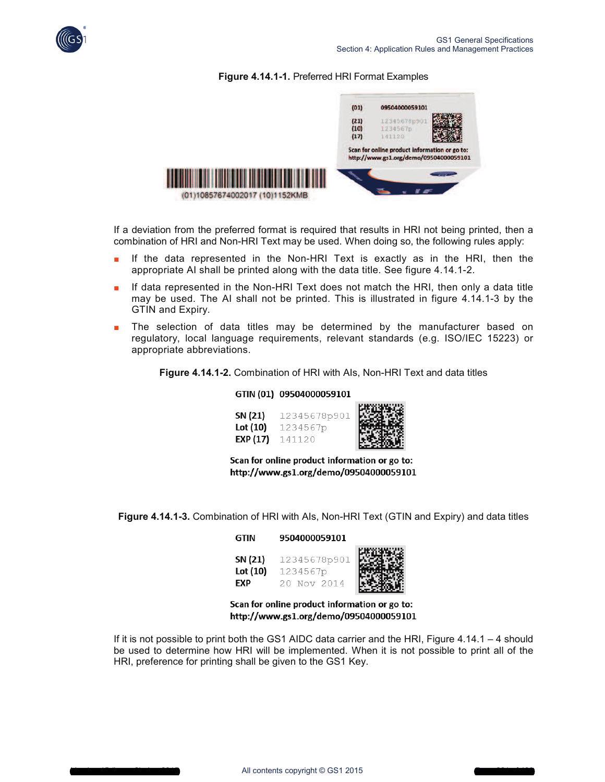

### **Figure 4.14.1-1.** Preferred HRI Format Examples



If a deviation from the preferred format is required that results in HRI not being printed, then a combination of HRI and Non-HRI Text may be used. When doing so, the following rules apply:

- If the data represented in the Non-HRI Text is exactly as in the HRI, then the appropriate AI shall be printed along with the data title. See figure 4.14.1-2.
- If data represented in the Non-HRI Text does not match the HRI, then only a data title may be used. The AI shall not be printed. This is illustrated in figure 4.14.1-3 by the GTIN and Expiry.
- The selection of data titles may be determined by the manufacturer based on regulatory, local language requirements, relevant standards (e.g. ISO/IEC 15223) or appropriate abbreviations.

**Figure 4.14.1-2.** Combination of HRI with AIs, Non-HRI Text and data titles

**MARK MARTIN** 

#### GTIN (01) 09504000059101

| SN (21)  | 12345678p901 | 医生物  |
|----------|--------------|------|
| Lot (10) | 1234567p     |      |
| EXP (17) | 141120       | e ko |

Scan for online product information or go to: http://www.gs1.org/demo/09504000059101

**Figure 4.14.1-3.** Combination of HRI with AIs, Non-HRI Text (GTIN and Expiry) and data titles

| GTIN                              | 9504000059101                           |  |
|-----------------------------------|-----------------------------------------|--|
| SN (21)<br>Lot (10)<br><b>FXP</b> | 12345678p901<br>1234567p<br>20 Nov 2014 |  |

Scan for online product information or go to: http://www.gs1.org/demo/09504000059101

If it is not possible to print both the GS1 AIDC data carrier and the HRI, Figure 4.14.1 – 4 should be used to determine how HRI will be implemented. When it is not possible to print all of the HRI, preference for printing shall be given to the GS1 Key.